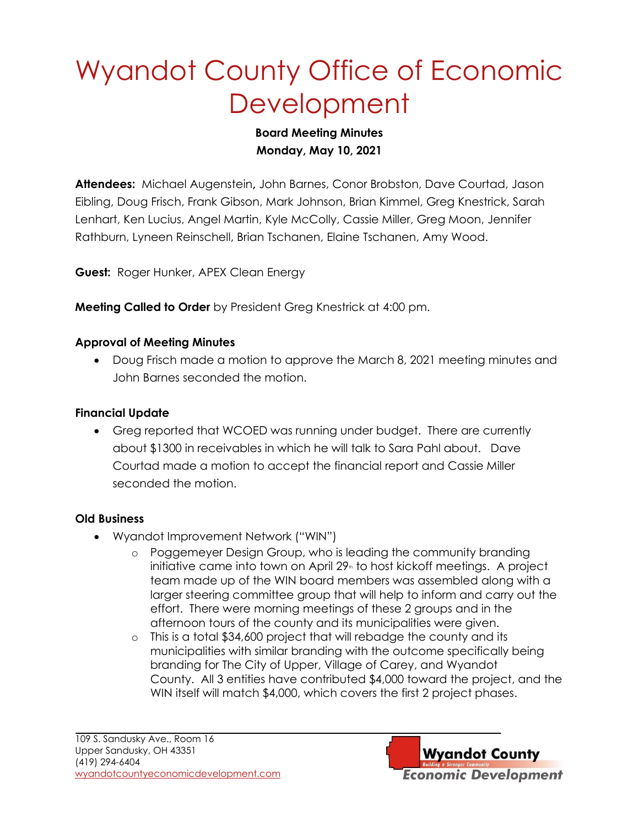# Wyandot County Office of Economic **Development**

## **Board Meeting Minutes Monday, May 10, 2021**

**Attendees:** Michael Augenstein**,** John Barnes, Conor Brobston, Dave Courtad, Jason Eibling, Doug Frisch, Frank Gibson, Mark Johnson, Brian Kimmel, Greg Knestrick, Sarah Lenhart, Ken Lucius, Angel Martin, Kyle McColly, Cassie Miller, Greg Moon, Jennifer Rathburn, Lyneen Reinschell, Brian Tschanen, Elaine Tschanen, Amy Wood.

**Guest:** Roger Hunker, APEX Clean Energy

**Meeting Called to Order** by President Greg Knestrick at 4:00 pm.

## **Approval of Meeting Minutes**

• Doug Frisch made a motion to approve the March 8, 2021 meeting minutes and John Barnes seconded the motion.

## **Financial Update**

• Greg reported that WCOED was running under budget. There are currently about \$1300 in receivables in which he will talk to Sara Pahl about. Dave Courtad made a motion to accept the financial report and Cassie Miller seconded the motion.

#### **Old Business**

- Wyandot Improvement Network ("WIN")
	- o Poggemeyer Design Group, who is leading the community branding initiative came into town on April  $29<sub>n</sub>$  to host kickoff meetings. A project team made up of the WIN board members was assembled along with a larger steering committee group that will help to inform and carry out the effort. There were morning meetings of these 2 groups and in the afternoon tours of the county and its municipalities were given.
	- o This is a total \$34,600 project that will rebadge the county and its municipalities with similar branding with the outcome specifically being branding for The City of Upper, Village of Carey, and Wyandot County. All 3 entities have contributed \$4,000 toward the project, and the WIN itself will match \$4,000, which covers the first 2 project phases.

**Wyandot County Economic Development**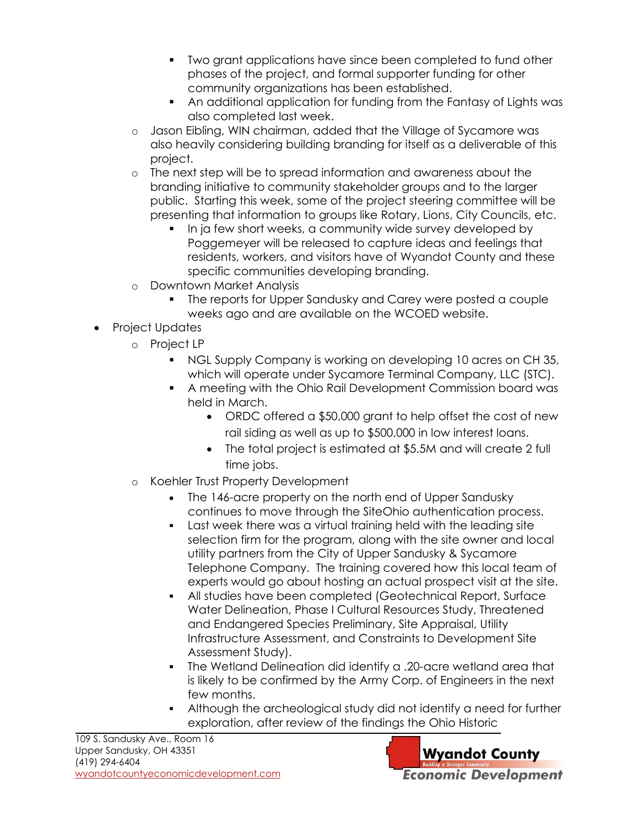- Two grant applications have since been completed to fund other phases of the project, and formal supporter funding for other community organizations has been established.
- An additional application for funding from the Fantasy of Lights was also completed last week.
- o Jason Eibling, WIN chairman, added that the Village of Sycamore was also heavily considering building branding for itself as a deliverable of this project.
- o The next step will be to spread information and awareness about the branding initiative to community stakeholder groups and to the larger public. Starting this week, some of the project steering committee will be presenting that information to groups like Rotary, Lions, City Councils, etc.
	- In ja few short weeks, a community wide survey developed by Poggemeyer will be released to capture ideas and feelings that residents, workers, and visitors have of Wyandot County and these specific communities developing branding.
- o Downtown Market Analysis
	- The reports for Upper Sandusky and Carey were posted a couple weeks ago and are available on the WCOED website.
- Project Updates
	- o Project LP
		- NGL Supply Company is working on developing 10 acres on CH 35, which will operate under Sycamore Terminal Company, LLC (STC).
		- A meeting with the Ohio Rail Development Commission board was held in March.
			- ORDC offered a \$50,000 grant to help offset the cost of new rail siding as well as up to \$500,000 in low interest loans.
			- The total project is estimated at \$5.5M and will create 2 full time jobs.
	- o Koehler Trust Property Development
		- The 146-acre property on the north end of Upper Sandusky continues to move through the SiteOhio authentication process.
		- Last week there was a virtual training held with the leading site selection firm for the program, along with the site owner and local utility partners from the City of Upper Sandusky & Sycamore Telephone Company. The training covered how this local team of experts would go about hosting an actual prospect visit at the site.
		- All studies have been completed (Geotechnical Report, Surface Water Delineation, Phase I Cultural Resources Study, Threatened and Endangered Species Preliminary, Site Appraisal, Utility Infrastructure Assessment, and Constraints to Development Site Assessment Study).
		- The Wetland Delineation did identify a .20-acre wetland area that is likely to be confirmed by the Army Corp. of Engineers in the next few months.
		- Although the archeological study did not identify a need for further exploration, after review of the findings the Ohio Historic

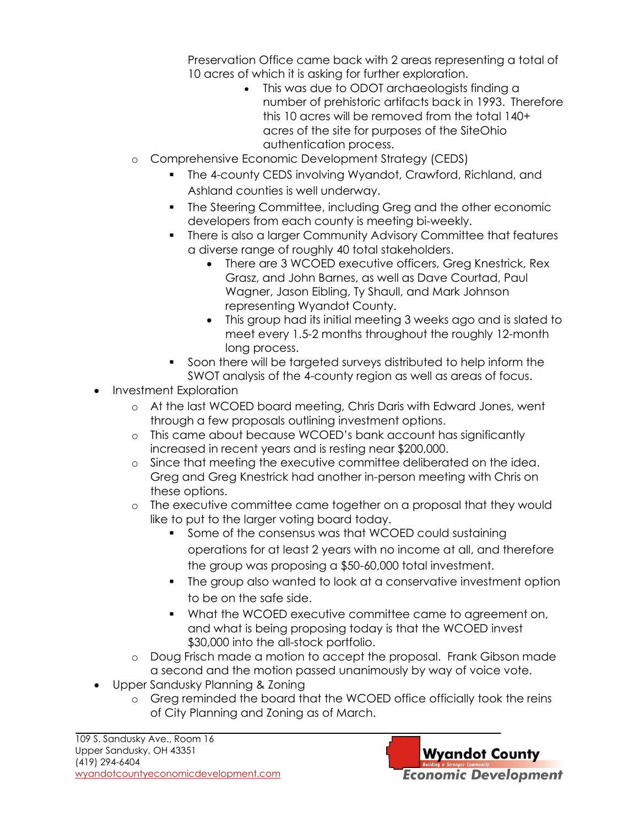Preservation Office came back with 2 areas representing a total of 10 acres of which it is asking for further exploration.

- This was due to ODOT archaeologists finding a number of prehistoric artifacts back in 1993. Therefore this 10 acres will be removed from the total 140+ acres of the site for purposes of the SiteOhio authentication process.
- o Comprehensive Economic Development Strategy (CEDS)
	- The 4-county CEDS involving Wyandot, Crawford, Richland, and Ashland counties is well underway.
	- The Steering Committee, including Greg and the other economic developers from each county is meeting bi-weekly.
	- There is also a larger Community Advisory Committee that features a diverse range of roughly 40 total stakeholders.
		- There are 3 WCOED executive officers, Greg Knestrick, Rex Grasz, and John Barnes, as well as Dave Courtad, Paul Wagner, Jason Eibling, Ty Shaull, and Mark Johnson representing Wyandot County.
		- This group had its initial meeting 3 weeks ago and is slated to meet every 1.5-2 months throughout the roughly 12-month long process.
	- Soon there will be targeted surveys distributed to help inform the SWOT analysis of the 4-county region as well as areas of focus.
- Investment Exploration
	- o At the last WCOED board meeting, Chris Daris with Edward Jones, went through a few proposals outlining investment options.
	- o This came about because WCOED's bank account has significantly increased in recent years and is resting near \$200,000.
	- o Since that meeting the executive committee deliberated on the idea. Greg and Greg Knestrick had another in-person meeting with Chris on these options.
	- o The executive committee came together on a proposal that they would like to put to the larger voting board today.
		- Some of the consensus was that WCOED could sustaining operations for at least 2 years with no income at all, and therefore the group was proposing a \$50-60,000 total investment.
		- The group also wanted to look at a conservative investment option to be on the safe side.
		- What the WCOED executive committee came to agreement on, and what is being proposing today is that the WCOED invest \$30,000 into the all-stock portfolio.
	- o Doug Frisch made a motion to accept the proposal. Frank Gibson made a second and the motion passed unanimously by way of voice vote.
- Upper Sandusky Planning & Zoning
	- o Greg reminded the board that the WCOED office officially took the reins of City Planning and Zoning as of March.

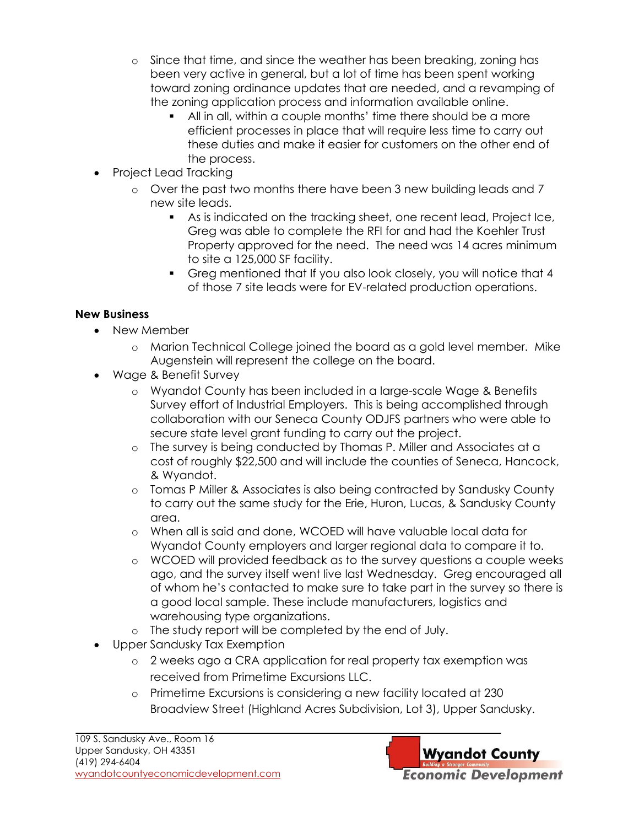- o Since that time, and since the weather has been breaking, zoning has been very active in general, but a lot of time has been spent working toward zoning ordinance updates that are needed, and a revamping of the zoning application process and information available online.
	- All in all, within a couple months' time there should be a more efficient processes in place that will require less time to carry out these duties and make it easier for customers on the other end of the process.
- Project Lead Tracking
	- o Over the past two months there have been 3 new building leads and 7 new site leads.
		- As is indicated on the tracking sheet, one recent lead, Project Ice, Greg was able to complete the RFI for and had the Koehler Trust Property approved for the need. The need was 14 acres minimum to site a 125,000 SF facility.
		- Greg mentioned that If you also look closely, you will notice that 4 of those 7 site leads were for EV-related production operations.

# **New Business**

- New Member
	- o Marion Technical College joined the board as a gold level member. Mike Augenstein will represent the college on the board.
- Wage & Benefit Survey
	- o Wyandot County has been included in a large-scale Wage & Benefits Survey effort of Industrial Employers. This is being accomplished through collaboration with our Seneca County ODJFS partners who were able to secure state level grant funding to carry out the project.
	- o The survey is being conducted by Thomas P. Miller and Associates at a cost of roughly \$22,500 and will include the counties of Seneca, Hancock, & Wyandot.
	- o Tomas P Miller & Associates is also being contracted by Sandusky County to carry out the same study for the Erie, Huron, Lucas, & Sandusky County area.
	- o When all is said and done, WCOED will have valuable local data for Wyandot County employers and larger regional data to compare it to.
	- o WCOED will provided feedback as to the survey questions a couple weeks ago, and the survey itself went live last Wednesday. Greg encouraged all of whom he's contacted to make sure to take part in the survey so there is a good local sample. These include manufacturers, logistics and warehousing type organizations.
	- o The study report will be completed by the end of July.
- Upper Sandusky Tax Exemption
	- o 2 weeks ago a CRA application for real property tax exemption was received from Primetime Excursions LLC.
	- o Primetime Excursions is considering a new facility located at 230 Broadview Street (Highland Acres Subdivision, Lot 3), Upper Sandusky.

**Wyandot County Economic Development**